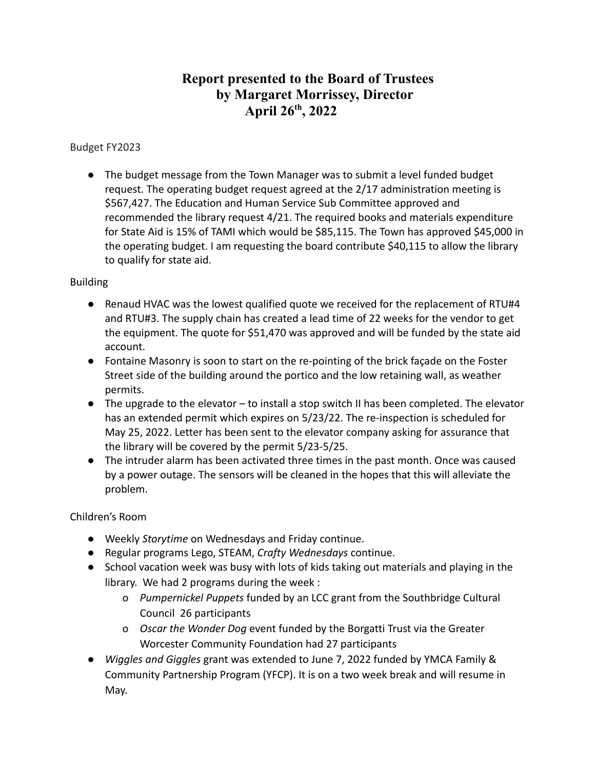# **Report presented to the Board of Trustees by Margaret Morrissey, Director April 26 th , 2022**

# Budget FY2023

● The budget message from the Town Manager was to submit a level funded budget request. The operating budget request agreed at the 2/17 administration meeting is \$567,427. The Education and Human Service Sub Committee approved and recommended the library request 4/21. The required books and materials expenditure for State Aid is 15% of TAMI which would be \$85,115. The Town has approved \$45,000 in the operating budget. I am requesting the board contribute \$40,115 to allow the library to qualify for state aid.

# Building

- Renaud HVAC was the lowest qualified quote we received for the replacement of RTU#4 and RTU#3. The supply chain has created a lead time of 22 weeks for the vendor to get the equipment. The quote for \$51,470 was approved and will be funded by the state aid account.
- Fontaine Masonry is soon to start on the re-pointing of the brick façade on the Foster Street side of the building around the portico and the low retaining wall, as weather permits.
- The upgrade to the elevator to install a stop switch II has been completed. The elevator has an extended permit which expires on 5/23/22. The re-inspection is scheduled for May 25, 2022. Letter has been sent to the elevator company asking for assurance that the library will be covered by the permit 5/23-5/25.
- The intruder alarm has been activated three times in the past month. Once was caused by a power outage. The sensors will be cleaned in the hopes that this will alleviate the problem.

Children's Room

- Weekly *Storytime* on Wednesdays and Friday continue.
- Regular programs Lego, STEAM, *Crafty Wednesdays* continue.
- School vacation week was busy with lots of kids taking out materials and playing in the library. We had 2 programs during the week :
	- o *Pumpernickel Puppets* funded by an LCC grant from the Southbridge Cultural Council 26 participants
	- o *Oscar the Wonder Dog* event funded by the Borgatti Trust via the Greater Worcester Community Foundation had 27 participants
- *Wiggles and Giggles* grant was extended to June 7, 2022 funded by YMCA Family & Community Partnership Program (YFCP). It is on a two week break and will resume in May.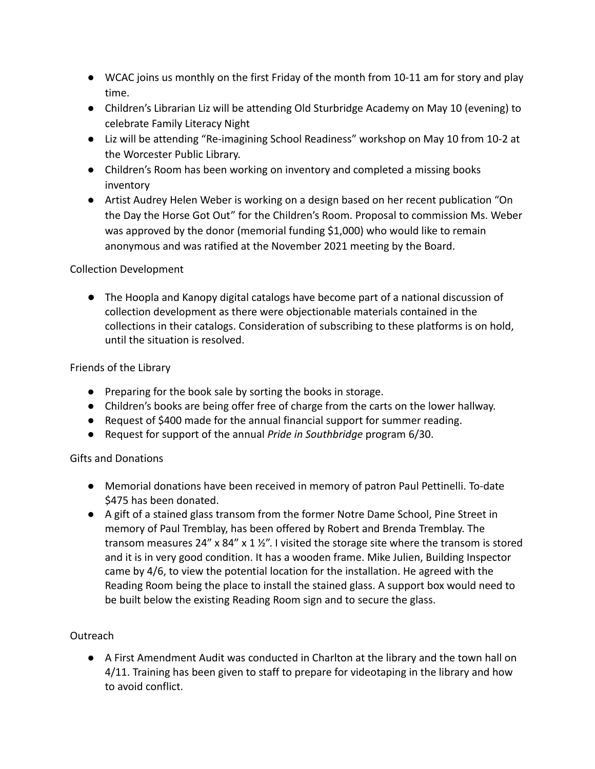- WCAC joins us monthly on the first Friday of the month from 10-11 am for story and play time.
- Children's Librarian Liz will be attending Old Sturbridge Academy on May 10 (evening) to celebrate Family Literacy Night
- Liz will be attending "Re-imagining School Readiness" workshop on May 10 from 10-2 at the Worcester Public Library.
- Children's Room has been working on inventory and completed a missing books inventory
- Artist Audrey Helen Weber is working on a design based on her recent publication "On the Day the Horse Got Out" for the Children's Room. Proposal to commission Ms. Weber was approved by the donor (memorial funding \$1,000) who would like to remain anonymous and was ratified at the November 2021 meeting by the Board.

## Collection Development

● The Hoopla and Kanopy digital catalogs have become part of a national discussion of collection development as there were objectionable materials contained in the collections in their catalogs. Consideration of subscribing to these platforms is on hold, until the situation is resolved.

# Friends of the Library

- Preparing for the book sale by sorting the books in storage.
- Children's books are being offer free of charge from the carts on the lower hallway.
- Request of \$400 made for the annual financial support for summer reading.
- Request for support of the annual *Pride in Southbridge* program 6/30.

# Gifts and Donations

- Memorial donations have been received in memory of patron Paul Pettinelli. To-date \$475 has been donated.
- A gift of a stained glass transom from the former Notre Dame School, Pine Street in memory of Paul Tremblay, has been offered by Robert and Brenda Tremblay. The transom measures 24" x 84" x 1  $\frac{1}{2}$ ". I visited the storage site where the transom is stored and it is in very good condition. It has a wooden frame. Mike Julien, Building Inspector came by 4/6, to view the potential location for the installation. He agreed with the Reading Room being the place to install the stained glass. A support box would need to be built below the existing Reading Room sign and to secure the glass.

## Outreach

● A First Amendment Audit was conducted in Charlton at the library and the town hall on 4/11. Training has been given to staff to prepare for videotaping in the library and how to avoid conflict.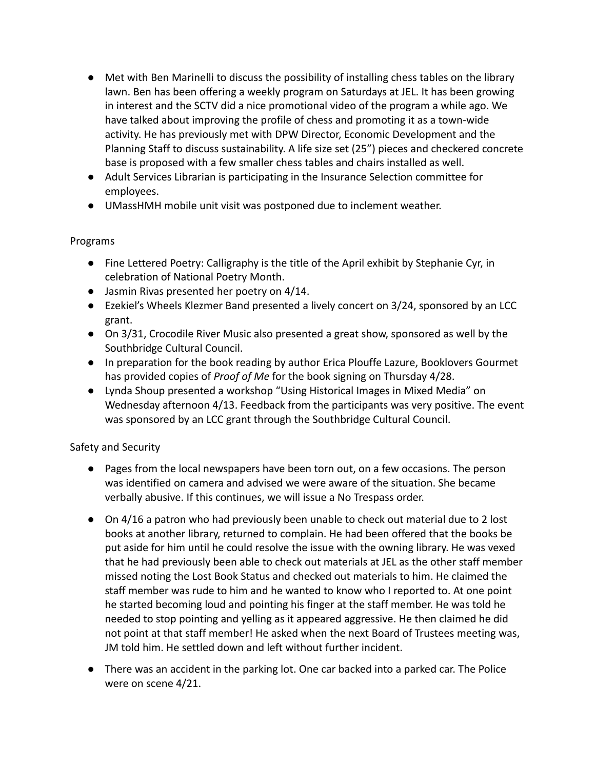- Met with Ben Marinelli to discuss the possibility of installing chess tables on the library lawn. Ben has been offering a weekly program on Saturdays at JEL. It has been growing in interest and the SCTV did a nice promotional video of the program a while ago. We have talked about improving the profile of chess and promoting it as a town-wide activity. He has previously met with DPW Director, Economic Development and the Planning Staff to discuss sustainability. A life size set (25") pieces and checkered concrete base is proposed with a few smaller chess tables and chairs installed as well.
- Adult Services Librarian is participating in the Insurance Selection committee for employees.
- UMassHMH mobile unit visit was postponed due to inclement weather.

#### Programs

- Fine Lettered Poetry: Calligraphy is the title of the April exhibit by Stephanie Cyr, in celebration of National Poetry Month.
- Jasmin Rivas presented her poetry on 4/14.
- Ezekiel's Wheels Klezmer Band presented a lively concert on 3/24, sponsored by an LCC grant.
- On 3/31, Crocodile River Music also presented a great show, sponsored as well by the Southbridge Cultural Council.
- In preparation for the book reading by author Erica Plouffe Lazure, Booklovers Gourmet has provided copies of *Proof of Me* for the book signing on Thursday 4/28.
- Lynda Shoup presented a workshop "Using Historical Images in Mixed Media" on Wednesday afternoon 4/13. Feedback from the participants was very positive. The event was sponsored by an LCC grant through the Southbridge Cultural Council.

#### Safety and Security

- Pages from the local newspapers have been torn out, on a few occasions. The person was identified on camera and advised we were aware of the situation. She became verbally abusive. If this continues, we will issue a No Trespass order.
- On 4/16 a patron who had previously been unable to check out material due to 2 lost books at another library, returned to complain. He had been offered that the books be put aside for him until he could resolve the issue with the owning library. He was vexed that he had previously been able to check out materials at JEL as the other staff member missed noting the Lost Book Status and checked out materials to him. He claimed the staff member was rude to him and he wanted to know who I reported to. At one point he started becoming loud and pointing his finger at the staff member. He was told he needed to stop pointing and yelling as it appeared aggressive. He then claimed he did not point at that staff member! He asked when the next Board of Trustees meeting was, JM told him. He settled down and left without further incident.
- There was an accident in the parking lot. One car backed into a parked car. The Police were on scene 4/21.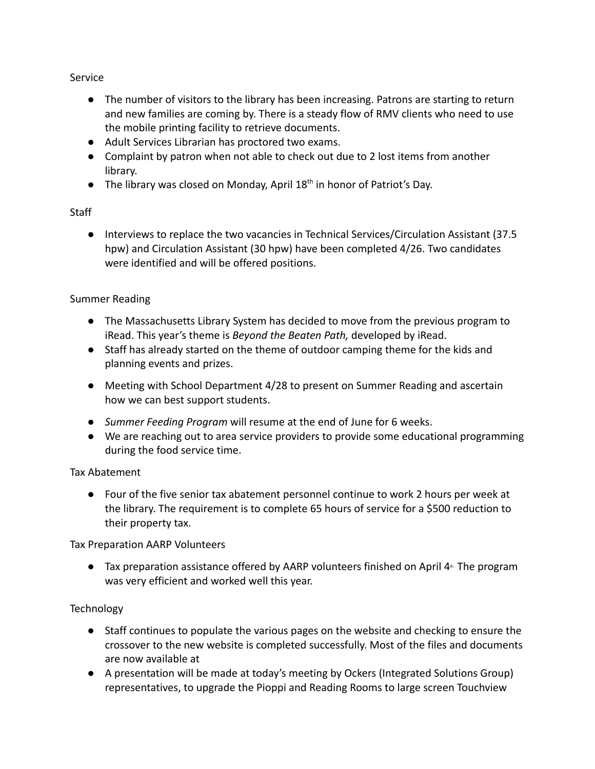Service

- The number of visitors to the library has been increasing. Patrons are starting to return and new families are coming by. There is a steady flow of RMV clients who need to use the mobile printing facility to retrieve documents.
- Adult Services Librarian has proctored two exams.
- Complaint by patron when not able to check out due to 2 lost items from another library.
- The library was closed on Monday, April 18<sup>th</sup> in honor of Patriot's Day.

## **Staff**

● Interviews to replace the two vacancies in Technical Services/Circulation Assistant (37.5 hpw) and Circulation Assistant (30 hpw) have been completed 4/26. Two candidates were identified and will be offered positions.

# Summer Reading

- The Massachusetts Library System has decided to move from the previous program to iRead. This year's theme is *Beyond the Beaten Path,* developed by iRead.
- Staff has already started on the theme of outdoor camping theme for the kids and planning events and prizes.
- Meeting with School Department 4/28 to present on Summer Reading and ascertain how we can best support students.
- *● Summer Feeding Program* will resume at the end of June for 6 weeks.
- We are reaching out to area service providers to provide some educational programming during the food service time.

## Tax Abatement

● Four of the five senior tax abatement personnel continue to work 2 hours per week at the library. The requirement is to complete 65 hours of service for a \$500 reduction to their property tax.

Tax Preparation AARP Volunteers

● Tax preparation assistance offered by AARP volunteers finished on April 4<sup>th</sup>. The program was very efficient and worked well this year.

## **Technology**

- Staff continues to populate the various pages on the website and checking to ensure the crossover to the new website is completed successfully. Most of the files and documents are now available at
- A presentation will be made at today's meeting by Ockers (Integrated Solutions Group) representatives, to upgrade the Pioppi and Reading Rooms to large screen Touchview